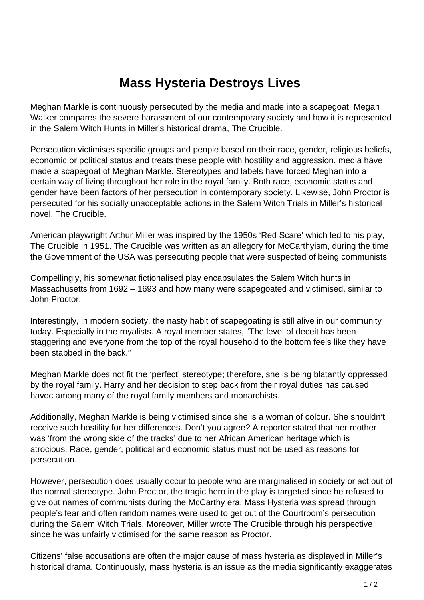## **Mass Hysteria Destroys Lives**

Meghan Markle is continuously persecuted by the media and made into a scapegoat. Megan Walker compares the severe harassment of our contemporary society and how it is represented in the Salem Witch Hunts in Miller's historical drama, The Crucible.

Persecution victimises specific groups and people based on their race, gender, religious beliefs, economic or political status and treats these people with hostility and aggression. media have made a scapegoat of Meghan Markle. Stereotypes and labels have forced Meghan into a certain way of living throughout her role in the royal family. Both race, economic status and gender have been factors of her persecution in contemporary society. Likewise, John Proctor is persecuted for his socially unacceptable actions in the Salem Witch Trials in Miller's historical novel, The Crucible.

American playwright Arthur Miller was inspired by the 1950s 'Red Scare' which led to his play, The Crucible in 1951. The Crucible was written as an allegory for McCarthyism, during the time the Government of the USA was persecuting people that were suspected of being communists.

Compellingly, his somewhat fictionalised play encapsulates the Salem Witch hunts in Massachusetts from 1692 – 1693 and how many were scapegoated and victimised, similar to John Proctor.

Interestingly, in modern society, the nasty habit of scapegoating is still alive in our community today. Especially in the royalists. A royal member states, "The level of deceit has been staggering and everyone from the top of the royal household to the bottom feels like they have been stabbed in the back."

Meghan Markle does not fit the 'perfect' stereotype; therefore, she is being blatantly oppressed by the royal family. Harry and her decision to step back from their royal duties has caused havoc among many of the royal family members and monarchists.

Additionally, Meghan Markle is being victimised since she is a woman of colour. She shouldn't receive such hostility for her differences. Don't you agree? A reporter stated that her mother was 'from the wrong side of the tracks' due to her African American heritage which is atrocious. Race, gender, political and economic status must not be used as reasons for persecution.

However, persecution does usually occur to people who are marginalised in society or act out of the normal stereotype. John Proctor, the tragic hero in the play is targeted since he refused to give out names of communists during the McCarthy era. Mass Hysteria was spread through people's fear and often random names were used to get out of the Courtroom's persecution during the Salem Witch Trials. Moreover, Miller wrote The Crucible through his perspective since he was unfairly victimised for the same reason as Proctor.

Citizens' false accusations are often the major cause of mass hysteria as displayed in Miller's historical drama. Continuously, mass hysteria is an issue as the media significantly exaggerates